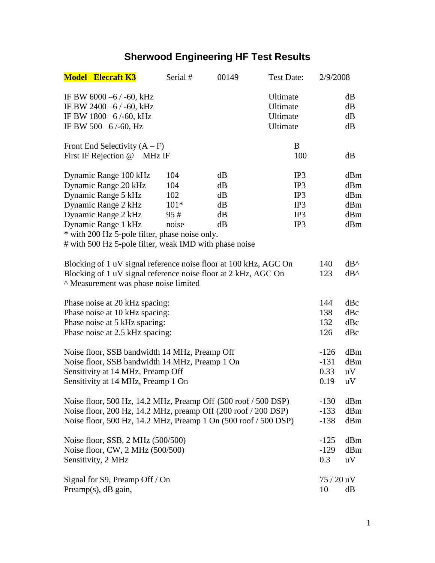## **Sherwood Engineering HF Test Results**

|                                                                                                                                                                                                     | <b>Model Elecraft K3</b>                                                                                                                                                                                                                              | Serial #                                    | 00149                            | <b>Test Date:</b>                            | 2/9/2008                         |                                        |
|-----------------------------------------------------------------------------------------------------------------------------------------------------------------------------------------------------|-------------------------------------------------------------------------------------------------------------------------------------------------------------------------------------------------------------------------------------------------------|---------------------------------------------|----------------------------------|----------------------------------------------|----------------------------------|----------------------------------------|
|                                                                                                                                                                                                     | IF BW 6000 $-6$ / -60, kHz<br>IF BW 2400 $-6$ / -60, kHz<br>IF BW 1800 -6/-60, kHz<br>IF BW 500 $-6$ /-60, Hz                                                                                                                                         |                                             |                                  | Ultimate<br>Ultimate<br>Ultimate<br>Ultimate |                                  | dB<br>dB<br>dB<br>dB                   |
|                                                                                                                                                                                                     | Front End Selectivity $(A - F)$<br>First IF Rejection @<br>MHz IF                                                                                                                                                                                     |                                             |                                  | B<br>100                                     |                                  | dB                                     |
|                                                                                                                                                                                                     | Dynamic Range 100 kHz<br>Dynamic Range 20 kHz<br>Dynamic Range 5 kHz<br>Dynamic Range 2 kHz<br>Dynamic Range 2 kHz<br>Dynamic Range 1 kHz<br>* with 200 Hz 5-pole filter, phase noise only.<br># with 500 Hz 5-pole filter, weak IMD with phase noise | 104<br>104<br>102<br>$101*$<br>95#<br>noise | dB<br>dB<br>dB<br>dB<br>dB<br>dB | IP3<br>IP3<br>IP3<br>IP3<br>IP3<br>IP3       |                                  | dBm<br>dBm<br>dBm<br>dBm<br>dBm<br>dBm |
| Blocking of 1 uV signal reference noise floor at 100 kHz, AGC On<br>Blocking of 1 uV signal reference noise floor at 2 kHz, AGC On<br>A Measurement was phase noise limited                         |                                                                                                                                                                                                                                                       |                                             |                                  |                                              | 140<br>123                       | $dB^{\wedge}$<br>$dB^{\wedge}$         |
| Phase noise at 20 kHz spacing:<br>Phase noise at 10 kHz spacing:<br>Phase noise at 5 kHz spacing:<br>Phase noise at 2.5 kHz spacing:                                                                |                                                                                                                                                                                                                                                       |                                             |                                  |                                              | 144<br>138<br>132<br>126         | dBc<br>dBc<br>dBc<br>dBc               |
| Noise floor, SSB bandwidth 14 MHz, Preamp Off<br>Noise floor, SSB bandwidth 14 MHz, Preamp 1 On<br>Sensitivity at 14 MHz, Preamp Off<br>Sensitivity at 14 MHz, Preamp 1 On                          |                                                                                                                                                                                                                                                       |                                             |                                  |                                              | $-126$<br>$-131$<br>0.33<br>0.19 | dBm<br>dBm<br>uV<br>uV                 |
| Noise floor, 500 Hz, 14.2 MHz, Preamp Off (500 roof / 500 DSP)<br>Noise floor, 200 Hz, 14.2 MHz, preamp Off (200 roof / 200 DSP)<br>Noise floor, 500 Hz, 14.2 MHz, Preamp 1 On (500 roof / 500 DSP) |                                                                                                                                                                                                                                                       |                                             |                                  |                                              | $-130$<br>$-133$<br>$-138$       | dBm<br>dBm<br>dBm                      |
| Noise floor, SSB, 2 MHz (500/500)<br>Noise floor, CW, 2 MHz (500/500)<br>Sensitivity, 2 MHz                                                                                                         |                                                                                                                                                                                                                                                       |                                             |                                  |                                              | $-125$<br>$-129$<br>0.3          | dBm<br>dBm<br>uV                       |
| Signal for S9, Preamp Off / On<br>Preamp $(s)$ , dB gain,                                                                                                                                           |                                                                                                                                                                                                                                                       |                                             |                                  |                                              | $75/20$ uV<br>10                 | dB                                     |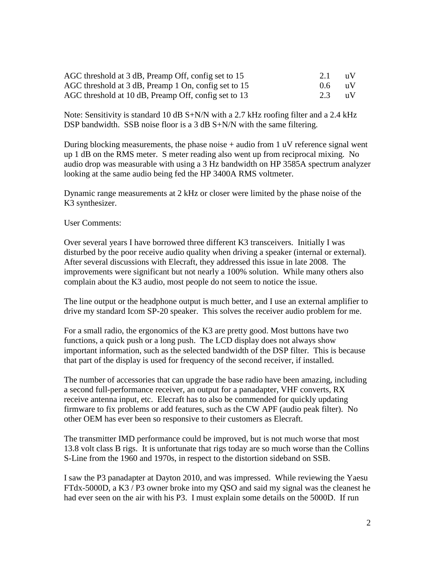| AGC threshold at 3 dB, Preamp Off, config set to 15  | 2.1 | $\blacksquare$ 11 $\blacksquare$ |
|------------------------------------------------------|-----|----------------------------------|
| AGC threshold at 3 dB, Preamp 1 On, config set to 15 | 0.6 | $\mathbf{u}$                     |
| AGC threshold at 10 dB, Preamp Off, config set to 13 | 2.3 | $\overline{\mathbf{u}}$          |

Note: Sensitivity is standard 10 dB  $S+N/N$  with a 2.7 kHz roofing filter and a 2.4 kHz DSP bandwidth. SSB noise floor is a 3 dB S+N/N with the same filtering.

During blocking measurements, the phase noise  $+$  audio from 1 uV reference signal went up 1 dB on the RMS meter. S meter reading also went up from reciprocal mixing. No audio drop was measurable with using a 3 Hz bandwidth on HP 3585A spectrum analyzer looking at the same audio being fed the HP 3400A RMS voltmeter.

Dynamic range measurements at 2 kHz or closer were limited by the phase noise of the K3 synthesizer.

User Comments:

Over several years I have borrowed three different K3 transceivers. Initially I was disturbed by the poor receive audio quality when driving a speaker (internal or external). After several discussions with Elecraft, they addressed this issue in late 2008. The improvements were significant but not nearly a 100% solution. While many others also complain about the K3 audio, most people do not seem to notice the issue.

The line output or the headphone output is much better, and I use an external amplifier to drive my standard Icom SP-20 speaker. This solves the receiver audio problem for me.

For a small radio, the ergonomics of the K3 are pretty good. Most buttons have two functions, a quick push or a long push. The LCD display does not always show important information, such as the selected bandwidth of the DSP filter. This is because that part of the display is used for frequency of the second receiver, if installed.

The number of accessories that can upgrade the base radio have been amazing, including a second full-performance receiver, an output for a panadapter, VHF converts, RX receive antenna input, etc. Elecraft has to also be commended for quickly updating firmware to fix problems or add features, such as the CW APF (audio peak filter). No other OEM has ever been so responsive to their customers as Elecraft.

The transmitter IMD performance could be improved, but is not much worse that most 13.8 volt class B rigs. It is unfortunate that rigs today are so much worse than the Collins S-Line from the 1960 and 1970s, in respect to the distortion sideband on SSB.

I saw the P3 panadapter at Dayton 2010, and was impressed. While reviewing the Yaesu FTdx-5000D, a K3 / P3 owner broke into my QSO and said my signal was the cleanest he had ever seen on the air with his P3. I must explain some details on the 5000D. If run